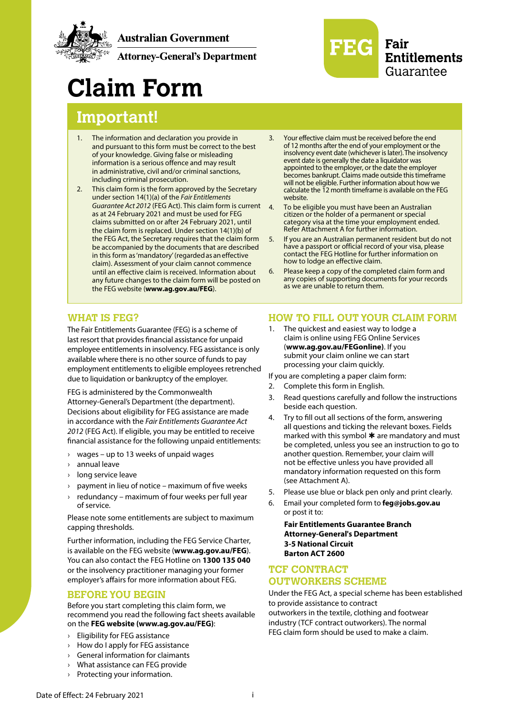

**Australian Government** 

**Attorney-General's Department** 



# **Claim Form**

# **Important!**

- 1. The information and declaration you provide in and pursuant to this form must be correct to the best of your knowledge. Giving false or misleading information is a serious offence and may result in administrative, civil and/or criminal sanctions, including criminal prosecution.
- 2. This claim form is the form approved by the Secretary under section 14(1)(a) of the *Fair Entitlements Guarantee Act 2012* (FEG Act). This claim form is current as at 24 February 2021 and must be used for FEG claims submitted on or after 24 February 2021, until the claim form is replaced. Under section 14(1)(b) of the FEG Act, the Secretary requires that the claim form be accompanied by the documents that are described in this form as 'mandatory' (regarded as an effective claim). Assessment of your claim cannot commence until an effective claim is received. Information about any future changes to the claim form will be posted on the FEG website (**[www.ag.gov.au/FEG](http://www.ag.gov.au/FEG)**).
- 3. Your effective claim must be received before the end of 12 months after the end of your employment or the insolvency event date (whichever is later). The insolvency event date is generally the date a liquidator was appointed to the employer, or the date the employer becomes bankrupt. Claims made outside this timeframe will not be eligible. Further information about how we calculate the 12 month timeframe is available on the FEG website.
- 4. To be eligible you must have been an Australian citizen or the holder of a permanent or special category visa at the time your employment ended. Refer Attachment A for further information.
- 5. If you are an Australian permanent resident but do not have a passport or official record of your visa, please contact the FEG Hotline for further information on how to lodge an effective claim.
- 6. Please keep a copy of the completed claim form and any copies of supporting documents for your records as we are unable to return them.

#### **WHAT IS FEG?**

The Fair Entitlements Guarantee (FEG) is a scheme of last resort that provides financial assistance for unpaid employee entitlements in insolvency. FEG assistance is only available where there is no other source of funds to pay employment entitlements to eligible employees retrenched due to liquidation or bankruptcy of the employer.

FEG is administered by the Commonwealth Attorney-General's Department (the department). Decisions about eligibility for FEG assistance are made in accordance with the *Fair Entitlements Guarantee Act 2012* (FEG Act). If eligible, you may be entitled to receive financial assistance for the following unpaid entitlements:

- › wages up to 13 weeks of unpaid wages
- › annual leave
- long service leave
- payment in lieu of notice maximum of five weeks
- redundancy maximum of four weeks per full year of service.

Please note some entitlements are subject to maximum capping thresholds.

Further information, including the FEG Service Charter, is available on the FEG website (**[www.ag.gov.au/FEG](http://www.ag.gov.au/FEG)**). You can also contact the FEG Hotline on **1300 135 040** or the insolvency practitioner managing your former employer's affairs for more information about FEG.

#### **BEFORE YOU BEGIN**

Before you start completing this claim form, we recommend you read the following fact sheets available on the **[FEG website \(www.ag.gov.au/FEG\)](http://www.ag.gov.au/FEG)**:

- › Eligibility for FEG assistance
- › How do I apply for FEG assistance
- › General information for claimants
- What assistance can FEG provide
- › Protecting your information.

## **HOW TO FILL OUT YOUR CLAIM FORM**

1. The quickest and easiest way to lodge a claim is online using FEG Online Services (**[www.ag.gov.au/FEGonline\)](https://extranet.employment.gov.au/feg)**. If you submit your claim online we can start processing your claim quickly.

If you are completing a paper claim form:

- 2. Complete this form in English.
- 3. Read questions carefully and follow the instructions beside each question.
- 4. Try to fill out all sections of the form, answering all questions and ticking the relevant boxes. Fields marked with this symbol  $*$  are mandatory and must be completed, unless you see an instruction to go to another question. Remember, your claim will not be effective unless you have provided all mandatory information requested on this form (see Attachment A).
- 5. Please use blue or black pen only and print clearly.
- 6. Email your completed form to **feg@jobs.gov.au**  or post it to:

**Fair Entitlements Guarantee Branch Attorney-General's Department 3-5 National Circuit Barton ACT 2600**

# **TCF CONTRACT OUTWORKERS SCHEME**

Under the FEG Act, a special scheme has been established to provide assistance to contract outworkers in the textile, clothing and footwear industry (TCF contract outworkers). The normal FEG claim form should be used to make a claim.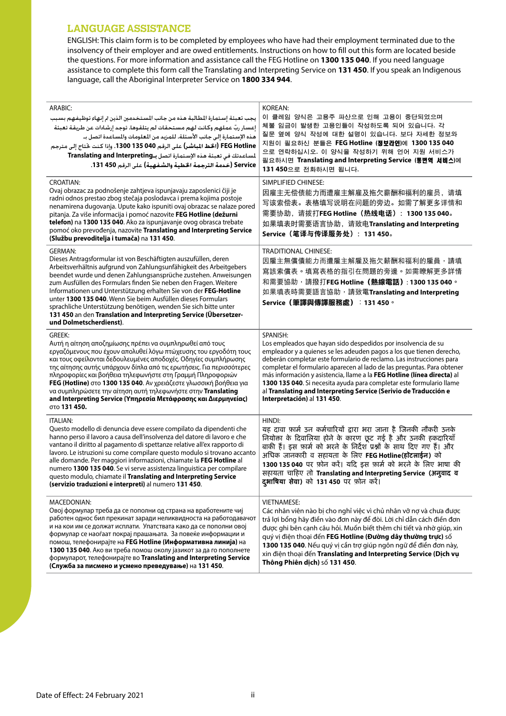#### **LANGUAGE ASSISTANCE**

ENGLISH: This claim form is to be completed by employees who have had their employment terminated due to the insolvency of their employer and are owed entitlements. Instructions on how to fill out this form are located beside the questions. For more information and assistance call the FEG Hotline on 1300 135 040. If you need language assistance to complete this form call the Translating and Interpreting Service on 131 450. If you speak an Indigenous language, call the Aboriginal Interpreter Service on **1800 334 944**.

| ARABIC:<br>يجب تعبئة إستمارة الطالبة هذه من جانب الستخدمين الذين تم إنهاء توظيفهم بسبب<br>إعسار ربّ عملهم وكانت لهم مستحقات لم يتلقوها. توجد إرشادات عن طريقة تعبئة<br>هذه الإستمارة إلى جانب الأسئلة. للمزيد من العلومات والمساعدة اتصل بـ<br>FEG Hotline (الخط المباشر) على الرقم 135 1300 1350. وإذا كنت ختاج إلى مترجم<br>لمساعدتك في تعبئة هذه الإستمارة اتصل بـTranslating and Interpreting<br>Service (خدمة الترجمة الخطية والشفهية) على الرقم 450 131.                                                                                                                                         | KOREAN:<br>이 클레임 양식은 고용주 파산으로 인해 고용이 중단되었으며<br>체불 임금이 발생한 고용인들이 작성하도록 되어 있습니다. 각<br>질문 옆에 양식 작성에 대한 설명이 있습니다. 보다 자세한 정보와<br>지원이 필요하신 분들은 FEG Hotline (정보라인)에 1300 135 040<br>으로 연락하십시오. 이 양식을 작성하기 위해 언어 지원 서비스가<br>필요하시면 Translating and Interpreting Service (통변역 서비스)에<br>131 450으로 전화하시면 됩니다.                                                                                                                                                                                                                                                          |
|--------------------------------------------------------------------------------------------------------------------------------------------------------------------------------------------------------------------------------------------------------------------------------------------------------------------------------------------------------------------------------------------------------------------------------------------------------------------------------------------------------------------------------------------------------------------------------------------------------|------------------------------------------------------------------------------------------------------------------------------------------------------------------------------------------------------------------------------------------------------------------------------------------------------------------------------------------------------------------------------------------------------------------------------------------------------------------------------------------------------------------------------------------------------------|
| <b>CROATIAN:</b><br>Ovaj obrazac za podnošenje zahtjeva ispunjavaju zaposlenici čiji je<br>radni odnos prestao zbog stečaja poslodavca i prema kojima postoje<br>nenamirena dugovanja. Upute kako ispuniti ovaj obrazac se nalaze pored<br>pitanja. Za više informacija i pomoć nazovite FEG Hotline (dežurni<br>telefon) na 1300 135 040. Ako za ispunjavanje ovog obrasca trebate<br>pomoć oko prevođenja, nazovite Translating and Interpreting Service<br>(Službu prevoditelja i tumača) na 131 450.                                                                                               | SIMPLIFIED CHINESE:<br>因雇主无偿债能力而遭雇主解雇及拖欠薪酬和福利的雇员, 请填<br>写该索偿表。表格填写说明在问题的旁边。如需了解更多详情和<br>需要协助, 请拨打FEG Hotline (热线电话): 1300 135 040。<br>如果填表时需要语言协助,请致电Translating and Interpreting<br>Service (笔译与传译服务处): 131 450。                                                                                                                                                                                                                                                                                                                                          |
| <b>GERMAN:</b><br>Dieses Antragsformular ist von Beschäftigten auszufüllen, deren<br>Arbeitsverhältnis aufgrund von Zahlungsunfähigkeit des Arbeitgebers<br>beendet wurde und denen Zahlungsansprüche zustehen. Anweisungen<br>zum Ausfüllen des Formulars finden Sie neben den Fragen. Weitere<br>Informationen und Unterstützung erhalten Sie von der FEG-Hotline<br>unter 1300 135 040. Wenn Sie beim Ausfüllen dieses Formulars<br>sprachliche Unterstützung benötigen, wenden Sie sich bitte unter<br>131 450 an den Translation and Interpreting Service (Übersetzer-<br>und Dolmetscherdienst). | <b>TRADITIONAL CHINESE:</b><br>因雇主無償債能力而遭雇主解雇及拖欠薪酬和福利的雇員,請填<br>寫該索償表。填寫表格的指引在問題的旁邊。如需瞭解更多詳情<br>和需要協助,請撥打FEG Hotline (熱線電話):1300 135 040。<br>如果填表時需要語言協助,請致電Translating and Interpreting<br>Service (筆譯與傳譯服務處) : 131 450。                                                                                                                                                                                                                                                                                                                                   |
| GREEK:<br>Αυτή η αίτηση αποζημίωσης πρέπει να συμπληρωθεί από τους<br>εργαζόμενους που έχουν απολυθεί λόγω πτώχευσης του εργοδότη τους<br>και τους οφείλονται δεδουλευμένες αποδοχές. Οδηγίες συμπλήρωσης<br>της αίτησης αυτής υπάρχουν δίπλα από τις ερωτήσεις. Για περισσότερες<br>πληροφορίες και βοήθεια τηλεφωνήστε στη Γραμμή Πληροφοριών<br>FEG (Hotline) στο 1300 135 040. Αν χρειάζεστε γλωσσική βοήθεια για<br>να συμπληρώσετε την αίτηση αυτή τηλεφωνήστε στην Translating<br>and Interpreting Service (Υπηρεσία Μετάφρασης και Διερμηνείας)<br>στο 131 450.                                | SPANISH:<br>Los empleados que hayan sido despedidos por insolvencia de su<br>empleador y a quienes se les adeuden pagos a los que tienen derecho,<br>deberán completar este formulario de reclamo. Las instrucciones para<br>completar el formulario aparecen al lado de las preguntas. Para obtener<br>más información y asistencia, llame a la FEG Hotline (línea directa) al<br>1300 135 040. Si necesita ayuda para completar este formulario llame<br>al Translating and Interpreting Service (Serivio de Traducción e<br>Interpretación) al 131 450. |
| ITALIAN:<br>Questo modello di denuncia deve essere compilato da dipendenti che<br>hanno perso il lavoro a causa dell'insolvenza del datore di lavoro e che<br>vantano il diritto al pagamento di spettanze relative all'ex rapporto di<br>lavoro. Le istruzioni su come compilare questo modulo si trovano accanto<br>alle domande. Per maggiori informazioni, chiamate la FEG Hotline al<br>numero 1300 135 040. Se vi serve assistenza linguistica per compilare<br>questo modulo, chiamate il Translating and Interpreting Service<br>(servizio traduzioni e interpreti) al numero 131 450.         | HINDI:<br>यह दावा फ़ार्म उन कर्मचारियों द्वारा भरा जाना है जिनकी नौकरी उनके<br>नियोक्ता के दिवालिया होने के कारण छूट गई है और उनकी हकदारियाँ<br>बाकी हैं। इस फ़ार्म को भरने के निर्देश प्रश्नों के साथ दिए गए हैं। और<br>अधिक जानकारी व सहायता के लिए FEG Hotline(हॉटलाईन) को<br>1300 135 040 पर फ़ोन करें। यदि इस फ़ार्म को भरने के लिए भाषा की<br>सहायता चाहिए तो Translating and Interpreting Service (अनुवाद व<br>द्भाषिया सेवा) को 131450 पर फ़ोन करें।                                                                                               |
| MACEDONIAN:<br>Овој формулар треба да се пополни од страна на вработените чиј<br>работен однос бил прекинат заради неликвидноста на работодавачот<br>и на кои им се должат исплати. Упатствата како да се пополни овој<br>формулар се наоѓаат покрај прашањата. За повеќе информации и<br>помош, телефонирајте на FEG Hotline (Информативна линија) на<br>1300 135 040. Ако ви треба помош околу јазикот за да го пополнете<br>формуларот, телефонирајте во Translating and Interpreting Service<br>(Служба за писмено и усмено преведување) на 131 450.                                               | <b>VIETNAMESE:</b><br>Các nhân viên nào bị cho nghỉ việc vì chủ nhân vỡ nợ và chưa được<br>trả lợi bổng hãy điền vào đơn này để đòi. Lời chỉ dẫn cách điền đơn<br>được ghi bên cạnh câu hỏi. Muốn biết thêm chi tiết và nhờ giúp, xin<br>quý vị điện thoại đến FEG Hotline (Đường dây thường trực) số<br>1300 135 040. Nếu quý vị cần trợ giúp ngôn ngữ để điền đơn này,<br>xin điện thoại đến Translating and Interpreting Service (Dịch vụ<br>Thông Phiên dịch) số 131 450.                                                                              |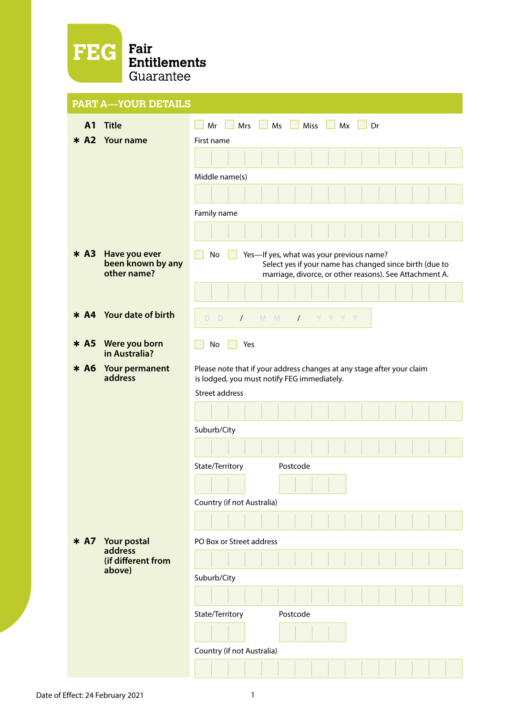

|                | <b>PART A-YOUR DETAILS</b>                        |                                                                                                                                                                      |
|----------------|---------------------------------------------------|----------------------------------------------------------------------------------------------------------------------------------------------------------------------|
| A <sub>1</sub> | <b>Title</b>                                      | $MS$ $\Box$ Miss $\Box$ Mx $\Box$ Dr<br>n l<br>Mrs $\Box$<br>Mr<br>a katika                                                                                          |
| $* A2$         | <b>Your name</b>                                  | First name                                                                                                                                                           |
|                |                                                   |                                                                                                                                                                      |
|                |                                                   | Middle name(s)                                                                                                                                                       |
|                |                                                   |                                                                                                                                                                      |
|                |                                                   | Family name                                                                                                                                                          |
|                |                                                   |                                                                                                                                                                      |
| $*$ A3         | Have you ever<br>been known by any<br>other name? | No<br>Yes-If yes, what was your previous name?<br>Select yes if your name has changed since birth (due to<br>marriage, divorce, or other reasons). See Attachment A. |
|                |                                                   |                                                                                                                                                                      |
| $* A4$         | <b>Your date of birth</b>                         | M M<br>$D$ $D$<br>$Y$ YYYYY<br>$\sqrt{2}$                                                                                                                            |
| $*$ A5         | Were you born<br>in Australia?                    | No<br>Yes                                                                                                                                                            |
| $* A6$         | Your permanent<br>address                         | Please note that if your address changes at any stage after your claim<br>is lodged, you must notify FEG immediately.                                                |
|                |                                                   | <b>Street address</b>                                                                                                                                                |
|                |                                                   |                                                                                                                                                                      |
|                |                                                   | Suburb/City                                                                                                                                                          |
|                |                                                   |                                                                                                                                                                      |
|                |                                                   | State/Territory<br>Postcode                                                                                                                                          |
|                |                                                   |                                                                                                                                                                      |
|                |                                                   | Country (if not Australia)                                                                                                                                           |
|                |                                                   |                                                                                                                                                                      |
|                |                                                   |                                                                                                                                                                      |
| $* A7$         | Your postal<br>address                            | PO Box or Street address                                                                                                                                             |
|                | (if different from<br>above)                      |                                                                                                                                                                      |
|                |                                                   | Suburb/City                                                                                                                                                          |
|                |                                                   |                                                                                                                                                                      |
|                |                                                   | State/Territory<br>Postcode                                                                                                                                          |
|                |                                                   |                                                                                                                                                                      |
|                |                                                   | Country (if not Australia)                                                                                                                                           |
|                |                                                   |                                                                                                                                                                      |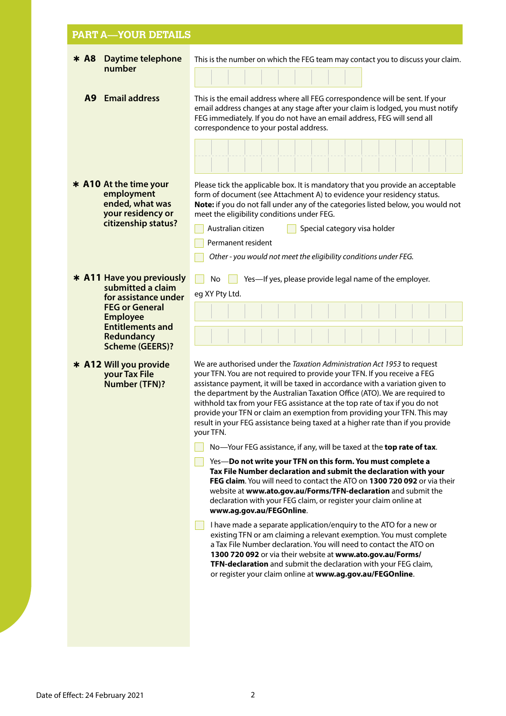#### **PART A—YOUR DETAILS** Þ **A8 Daytime telephone number** This is the number on which the FEG team may contact you to discuss your claim. **A9 Email address** This is the email address where all FEG correspondence will be sent. If your email address changes at any stage after your claim is lodged, you must notify FEG immediately. If you do not have an email address, FEG will send all correspondence to your postal address. Please tick the applicable box. It is mandatory that you provide an acceptable form of document (see Attachment A) to evidence your residency status. **Note:** if you do not fall under any of the categories listed below, you would not meet the eligibility conditions under FEG. Australian citizen  $\Box$  Special category visa holder Permanent resident *Other - you would not meet the eligibility conditions under FEG.* Þ **A11 Have you previously submitted a claim for assistance under FEG or General Employee Entitlements and Redundancy Scheme (GEERS)?** No  $\Box$  Yes—If yes, please provide legal name of the employer. eg XY Pty Ltd. Þ **A12 Will you provide your Tax File Number (TFN)?** We are authorised under the *Taxation Administration Act 1953* to request your TFN. You are not required to provide your TFN. If you receive a FEG assistance payment, it will be taxed in accordance with a variation given to the department by the Australian Taxation Office (ATO). We are required to withhold tax from your FEG assistance at the top rate of tax if you do not provide your TFN or claim an exemption from providing your TFN. This may result in your FEG assistance being taxed at a higher rate than if you provide your TFN. No—Your FEG assistance, if any, will be taxed at the **top rate of tax**. Yes—**Do not write your TFN on this form. You must complete a Tax File Number declaration and submit the declaration with your FEG claim**. You will need to contact the ATO on **1300 720 092** or via their website at **[www.ato.gov.au/Forms/TFN-declaration](http://www.ato.gov.au/Forms/TFN-declaration)** and submit the declaration with your FEG claim, or register your claim online at **[www.ag.gov.au/FEGOnline](https://extranet.employment.gov.au/feg)**. I have made a separate application/enquiry to the ATO for a new or existing TFN or am claiming a relevant exemption. You must complete a Tax File Number declaration. You will need to contact the ATO on **1300 720 092** or via their website at **[www.ato.gov.au/Forms/](http://www.ato.gov.au/Forms/)  [TFN-declaration](http://www.ato.gov.au/Forms/)** and submit the declaration with your FEG claim, or register your claim online at **[www.ag.gov.au/FEGOnline](https://extranet.employment.gov.au/feg)**. Þ **A10 At the time your employment ended, what was your residency or citizenship status?**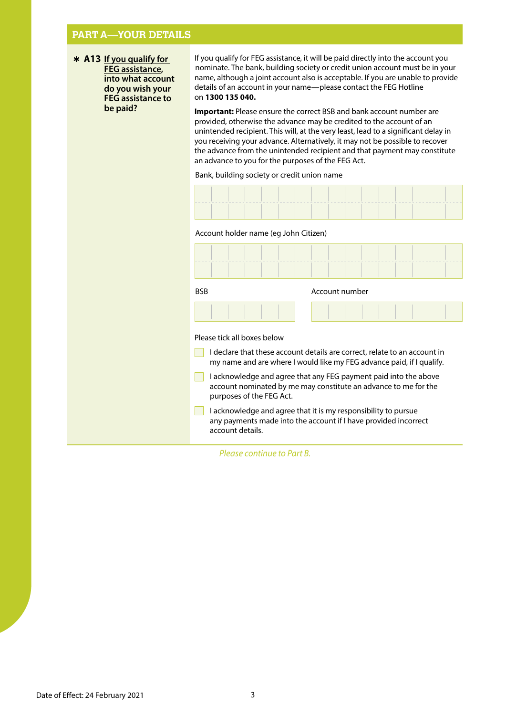## **PART A—YOUR DETAILS**

Þ **A13 If you qualify for FEG assistance, into what account do you wish your FEG assistance to be paid?**

If you qualify for FEG assistance, it will be paid directly into the account you nominate. The bank, building society or credit union account must be in your name, although a joint account also is acceptable. If you are unable to provide details of an account in your name—please contact the FEG Hotline on **1300 135 040.**

**Important:** Please ensure the correct BSB and bank account number are provided, otherwise the advance may be credited to the account of an unintended recipient. This will, at the very least, lead to a significant delay in you receiving your advance. Alternatively, it may not be possible to recover the advance from the unintended recipient and that payment may constitute an advance to you for the purposes of the FEG Act.

Bank, building society or credit union name

#### Account holder name (eg John Citizen)

| <b>BSB</b>                                                                                                                                                                        | Account number                                                                                                                    |  |  |  |
|-----------------------------------------------------------------------------------------------------------------------------------------------------------------------------------|-----------------------------------------------------------------------------------------------------------------------------------|--|--|--|
|                                                                                                                                                                                   |                                                                                                                                   |  |  |  |
| Please tick all boxes below<br>I declare that these account details are correct, relate to an account in<br>my name and are where I would like my FEG advance paid, if I qualify. |                                                                                                                                   |  |  |  |
| I acknowledge and agree that any FEG payment paid into the above<br>account nominated by me may constitute an advance to me for the<br>purposes of the FEG Act.                   |                                                                                                                                   |  |  |  |
| account details.                                                                                                                                                                  | I acknowledge and agree that it is my responsibility to pursue<br>any payments made into the account if I have provided incorrect |  |  |  |

*Please continue to Part B.*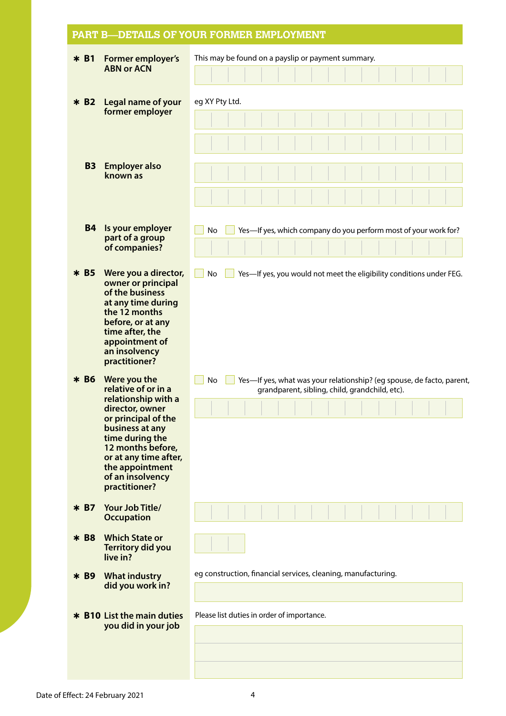# **PART B—DETAILS OF YOUR FORMER EMPLOYMENT**

| $* B1$    | <b>Former employer's</b>                                                                                                                                                                                                                         | This may be found on a payslip or payment summary.                                                                                   |  |  |  |  |  |  |
|-----------|--------------------------------------------------------------------------------------------------------------------------------------------------------------------------------------------------------------------------------------------------|--------------------------------------------------------------------------------------------------------------------------------------|--|--|--|--|--|--|
|           | <b>ABN or ACN</b>                                                                                                                                                                                                                                |                                                                                                                                      |  |  |  |  |  |  |
| $* B2$    | Legal name of your<br>former employer                                                                                                                                                                                                            | eg XY Pty Ltd.                                                                                                                       |  |  |  |  |  |  |
|           |                                                                                                                                                                                                                                                  |                                                                                                                                      |  |  |  |  |  |  |
| <b>B3</b> | <b>Employer also</b><br>known as                                                                                                                                                                                                                 |                                                                                                                                      |  |  |  |  |  |  |
| <b>B4</b> | Is your employer<br>part of a group<br>of companies?                                                                                                                                                                                             | Yes-If yes, which company do you perform most of your work for?<br>No                                                                |  |  |  |  |  |  |
| $*$ B5    | Were you a director,<br>owner or principal<br>of the business<br>at any time during<br>the 12 months<br>before, or at any<br>time after, the<br>appointment of<br>an insolvency<br>practitioner?                                                 | No<br>Yes-If yes, you would not meet the eligibility conditions under FEG.                                                           |  |  |  |  |  |  |
| $* B6$    | Were you the<br>relative of or in a<br>relationship with a<br>director, owner<br>or principal of the<br>business at any<br>time during the<br>12 months before,<br>or at any time after,<br>the appointment<br>of an insolvency<br>practitioner? | Yes-If yes, what was your relationship? (eg spouse, de facto, parent,<br><b>No</b><br>grandparent, sibling, child, grandchild, etc). |  |  |  |  |  |  |
| $*$ B7    | Your Job Title/<br><b>Occupation</b>                                                                                                                                                                                                             |                                                                                                                                      |  |  |  |  |  |  |
| * B8      | <b>Which State or</b><br>Territory did you<br>live in?                                                                                                                                                                                           |                                                                                                                                      |  |  |  |  |  |  |
| * B9      | <b>What industry</b><br>did you work in?                                                                                                                                                                                                         | eg construction, financial services, cleaning, manufacturing.                                                                        |  |  |  |  |  |  |
|           | * B10 List the main duties<br>you did in your job                                                                                                                                                                                                | Please list duties in order of importance.                                                                                           |  |  |  |  |  |  |
|           |                                                                                                                                                                                                                                                  |                                                                                                                                      |  |  |  |  |  |  |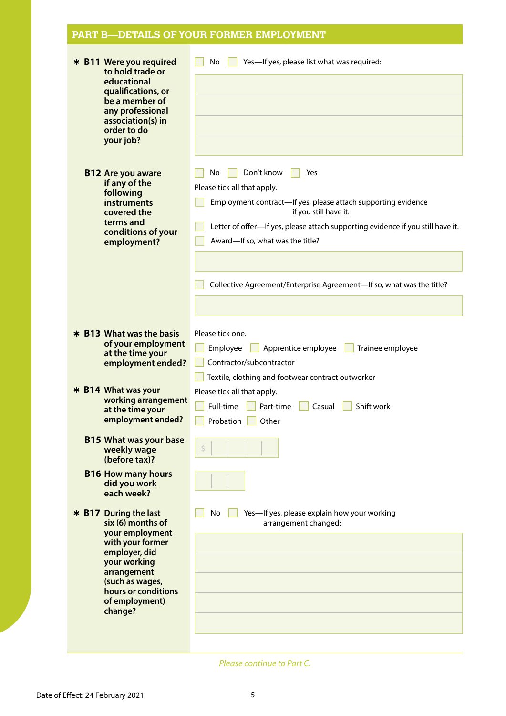# **PART B—DETAILS OF YOUR FORMER EMPLOYMENT**

| * B11 Were you required<br>to hold trade or<br>educational<br>qualifications, or<br>be a member of<br>any professional<br>association(s) in<br>order to do<br>your job?                                  | Yes-If yes, please list what was required:<br>No                                                                                                                                                                                                                        |
|----------------------------------------------------------------------------------------------------------------------------------------------------------------------------------------------------------|-------------------------------------------------------------------------------------------------------------------------------------------------------------------------------------------------------------------------------------------------------------------------|
| <b>B12 Are you aware</b><br>if any of the<br>following<br>instruments<br>covered the<br>terms and<br>conditions of your<br>employment?                                                                   | Don't know<br>No<br>Yes<br>Please tick all that apply.<br>Employment contract-If yes, please attach supporting evidence<br>if you still have it.<br>Letter of offer-If yes, please attach supporting evidence if you still have it.<br>Award-If so, what was the title? |
|                                                                                                                                                                                                          | Collective Agreement/Enterprise Agreement-If so, what was the title?                                                                                                                                                                                                    |
| * B13 What was the basis<br>of your employment<br>at the time your<br>employment ended?                                                                                                                  | Please tick one.<br>Apprentice employee<br>Trainee employee<br>Employee<br>Contractor/subcontractor<br>Textile, clothing and footwear contract outworker                                                                                                                |
| * B14 What was your<br>working arrangement<br>at the time your<br>employment ended?                                                                                                                      | Please tick all that apply.<br>Full-time<br>Casual<br>Shift work<br>Part-time<br>Probation<br>Other                                                                                                                                                                     |
| <b>B15 What was your base</b><br>weekly wage<br>(before tax)?                                                                                                                                            | Ś.                                                                                                                                                                                                                                                                      |
| <b>B16 How many hours</b><br>did you work<br>each week?                                                                                                                                                  |                                                                                                                                                                                                                                                                         |
| * B17 During the last<br>six (6) months of<br>your employment<br>with your former<br>employer, did<br>your working<br>arrangement<br>(such as wages,<br>hours or conditions<br>of employment)<br>change? | No<br>Yes-If yes, please explain how your working<br>arrangement changed:                                                                                                                                                                                               |

*Please continue to Part C.*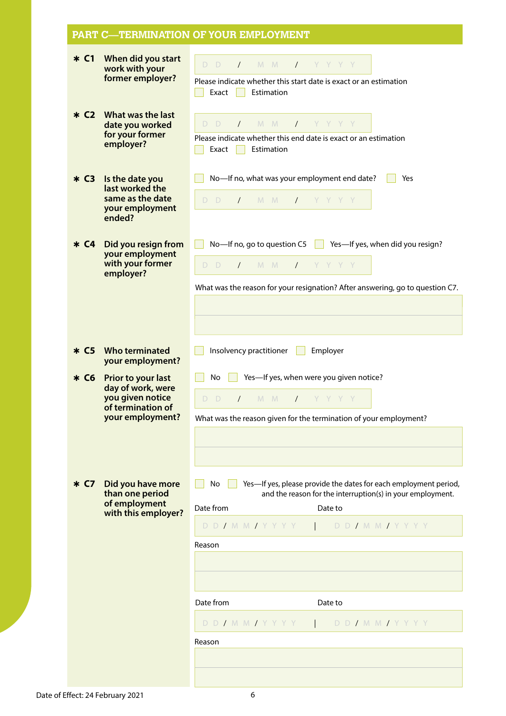|                    |                                                                                                      | PART C—TERMINATION OF YOUR EMPLOYMENT                                                                                                                                                                                |
|--------------------|------------------------------------------------------------------------------------------------------|----------------------------------------------------------------------------------------------------------------------------------------------------------------------------------------------------------------------|
| $*C1$              | When did you start<br>work with your<br>former employer?                                             | D D<br>$M$ $M$<br>$\sqrt{2}$<br>$Y$ YYYY<br>Please indicate whether this start date is exact or an estimation<br>Exact<br>Estimation<br>×.                                                                           |
| $*$ C <sub>2</sub> | What was the last<br>date you worked<br>for your former<br>employer?                                 | $M$ $M$<br>$Y$ YYYY<br>D D<br>$\sqrt{2}$<br>Please indicate whether this end date is exact or an estimation<br>Exact<br>Estimation<br>a a                                                                            |
| $* C3$             | Is the date you<br>last worked the<br>same as the date<br>your employment<br>ended?                  | No-If no, what was your employment end date?<br>Yes<br>$D$ $D$<br>M M<br>$\sqrt{2}$<br>$I$ YYYYY                                                                                                                     |
| $* C4$             | Did you resign from<br>your employment<br>with your former<br>employer?                              | No-If no, go to question C5 $\ \ $<br>Yes-If yes, when did you resign?<br>D D<br>$\sqrt{M}$ M $M$<br>$Y$ Y Y Y Y<br>What was the reason for your resignation? After answering, go to question C7.                    |
| $* C5$             | <b>Who terminated</b><br>your employment?                                                            | Insolvency practitioner<br>Employer                                                                                                                                                                                  |
| $* C6$             | Prior to your last<br>day of work, were<br>you given notice<br>of termination of<br>your employment? | Yes-If yes, when were you given notice?<br>No<br>D.<br>$M$ $M$<br>$\prime$<br>D.<br>$\sqrt{2}$<br>YYYY<br>What was the reason given for the termination of your employment?                                          |
| * C7               | Did you have more<br>than one period<br>of employment<br>with this employer?                         | Yes-If yes, please provide the dates for each employment period,<br>No<br>and the reason for the interruption(s) in your employment.<br>Date from<br>Date to<br>D D / M M / Y Y Y Y<br>D D / M M / Y Y Y Y<br>Reason |
|                    |                                                                                                      | Date from<br>Date to                                                                                                                                                                                                 |
|                    |                                                                                                      | D D / M M / Y Y Y Y<br>D D / M M / Y Y Y Y                                                                                                                                                                           |
|                    |                                                                                                      | Reason                                                                                                                                                                                                               |
|                    |                                                                                                      |                                                                                                                                                                                                                      |
|                    |                                                                                                      |                                                                                                                                                                                                                      |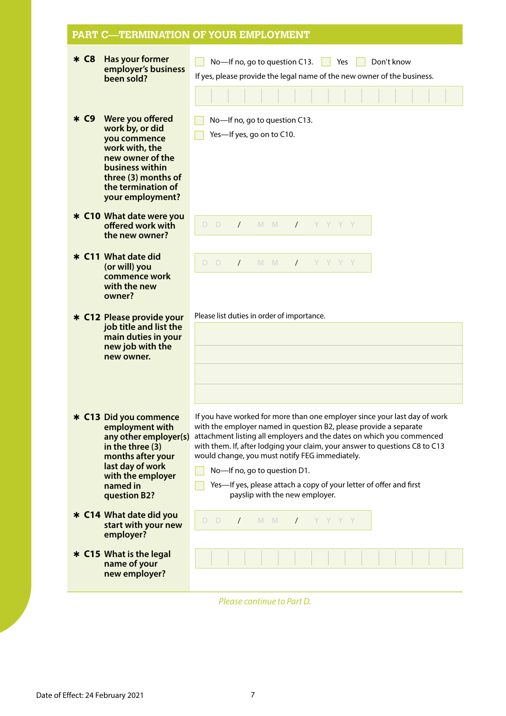#### **PART C—TERMINATION OF YOUR EMPLOYMENT** Þ **C8 Has your former employer's business been sold?**  No—If no, go to question C13. No Yes Non't know If yes, please provide the legal name of the new owner of the business. Þ **C9 Were you offered work by, or did you commence work with, the new owner of the business within three (3) months of the termination of your employment?**  No-If no, go to question C13.  $\Box$  Yes—If yes, go on to C10. Þ **C10 What date were you offered work with the new owner?**  Þ **C11 What date did (or will) you commence work with the new owner?**  Þ **C12 Please provide your job title and list the main duties in your new job with the new owner.**  Please list duties in order of importance. Þ **C13 Did you commence employment with any other employer(s) in the three (3) months after your last day of work with the employer named in question B2?**  If you have worked for more than one employer since your last day of work with the employer named in question B2, please provide a separate attachment listing all employers and the dates on which you commenced with them. If, after lodging your claim, your answer to questions C8 to C13 would change, you must notify FEG immediately. No—If no, go to question D1. Yes-If yes, please attach a copy of your letter of offer and first payslip with the new employer. Þ **C14 What date did you start with your new employer?**  Þ **C15 What is the legal name of your new employer?**  D D / M M / YYYY D D / M M / YYYY D D / M M / YYYY

*Please continue to Part D.*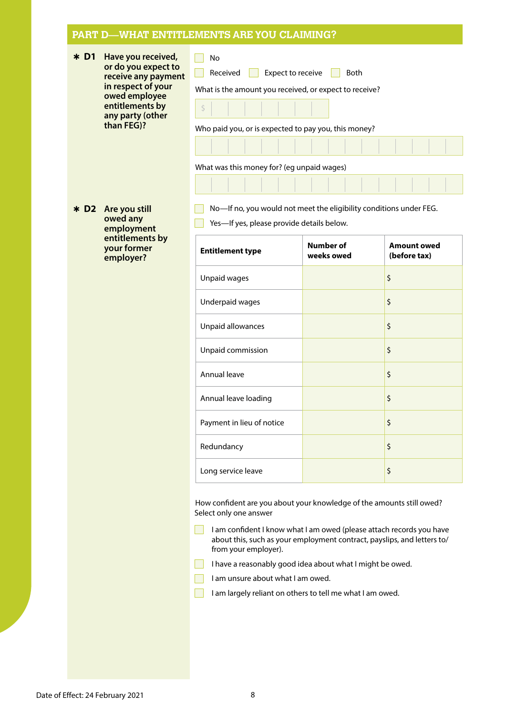| $*$ D1 | Have you received,<br>or do you expect to<br>receive any payment<br>in respect of your<br>owed employee<br>entitlements by<br>any party (other<br>than FEG)? | No<br>Received<br>Expect to receive<br><b>Both</b><br>What is the amount you received, or expect to receive?<br>$S = \begin{bmatrix} 1 & 1 & 1 \\ 1 & 1 & 1 \end{bmatrix}$<br>Who paid you, or is expected to pay you, this money? |  |  |  |  |
|--------|--------------------------------------------------------------------------------------------------------------------------------------------------------------|------------------------------------------------------------------------------------------------------------------------------------------------------------------------------------------------------------------------------------|--|--|--|--|
|        |                                                                                                                                                              |                                                                                                                                                                                                                                    |  |  |  |  |
|        |                                                                                                                                                              | What was this money for? (eg unpaid wages)                                                                                                                                                                                         |  |  |  |  |
|        |                                                                                                                                                              | ______________________                                                                                                                                                                                                             |  |  |  |  |
|        |                                                                                                                                                              | $\blacksquare$                                                                                                                                                                                                                     |  |  |  |  |

Þ **D2 Are you still owed any employment entitlements by your former employer?**

No—If no, you would not meet the eligibility conditions under FEG.  $\mathcal{L}(\mathcal{A})$ 

Yes—If yes, please provide details below.  $\mathbf{I}$ 

| <b>Entitlement type</b>   | <b>Number of</b><br>weeks owed | <b>Amount owed</b><br>(before tax) |
|---------------------------|--------------------------------|------------------------------------|
| Unpaid wages              |                                | \$                                 |
| Underpaid wages           |                                | \$                                 |
| Unpaid allowances         |                                | \$                                 |
| Unpaid commission         |                                | \$                                 |
| Annual leave              |                                | \$                                 |
| Annual leave loading      |                                | \$                                 |
| Payment in lieu of notice |                                | \$                                 |
| Redundancy                |                                | \$                                 |
| Long service leave        |                                | \$                                 |

How confident are you about your knowledge of the amounts still owed? Select only one answer

 $\Box$ I am confident I know what I am owed (please attach records you have about this, such as your employment contract, payslips, and letters to/ from your employer).

- I have a reasonably good idea about what I might be owed.
- I am unsure about what I am owed.
- I am largely reliant on others to tell me what I am owed.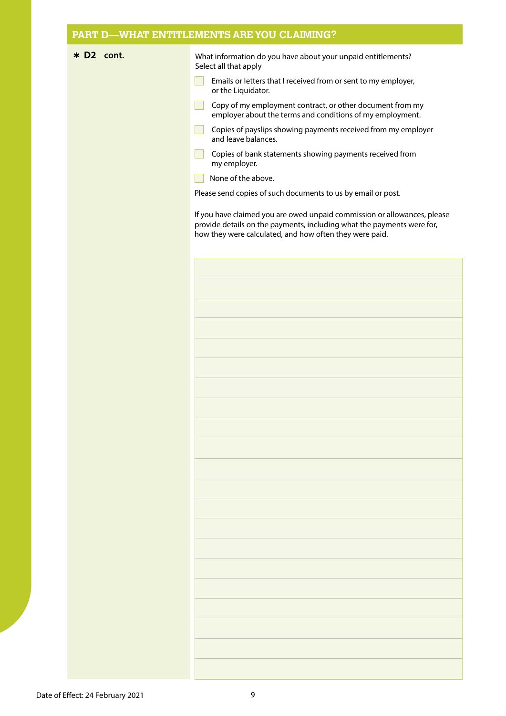\* D2 cont. **In the UP and What information do you have about your unpaid entitlements?** Select all that apply

- $\Box$ Emails or letters that I received from or sent to my employer, or the Liquidator.
- Copy of my employment contract, or other document from my employer about the terms and conditions of my employment.
- $\mathbf{L}$ Copies of payslips showing payments received from my employer and leave balances.
- Copies of bank statements showing payments received from my employer.
- None of the above.

Please send copies of such documents to us by email or post.

If you have claimed you are owed unpaid commission or allowances, please provide details on the payments, including what the payments were for, how they were calculated, and how often they were paid.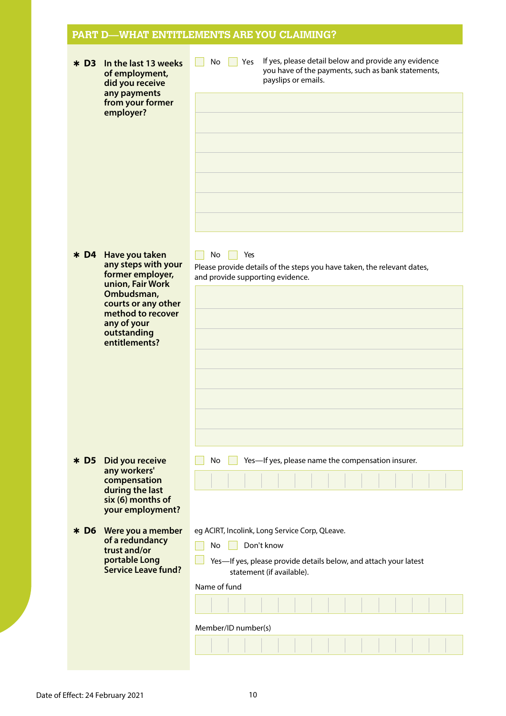| In the last 13 weeks<br>$*$ D3<br>of employment,<br>did you receive<br>any payments<br>from your former<br>employer?                                                                            | If yes, please detail below and provide any evidence<br>No<br>Yes<br>you have of the payments, such as bank statements,<br>payslips or emails.                                                             |
|-------------------------------------------------------------------------------------------------------------------------------------------------------------------------------------------------|------------------------------------------------------------------------------------------------------------------------------------------------------------------------------------------------------------|
| Have you taken<br>$*D4$<br>any steps with your<br>former employer,<br>union, Fair Work<br>Ombudsman,<br>courts or any other<br>method to recover<br>any of your<br>outstanding<br>entitlements? | Yes<br>No<br>Please provide details of the steps you have taken, the relevant dates,<br>and provide supporting evidence.                                                                                   |
| Did you receive<br>$*$ D5<br>any workers'<br>compensation<br>during the last<br>six (6) months of<br>your employment?                                                                           | Yes-If yes, please name the compensation insurer.<br>No                                                                                                                                                    |
| Were you a member<br>$*$ D6<br>of a redundancy<br>trust and/or<br>portable Long<br><b>Service Leave fund?</b>                                                                                   | eg ACIRT, Incolink, Long Service Corp, QLeave.<br>Don't know<br>No<br>Yes-If yes, please provide details below, and attach your latest<br>statement (if available).<br>Name of fund<br>Member/ID number(s) |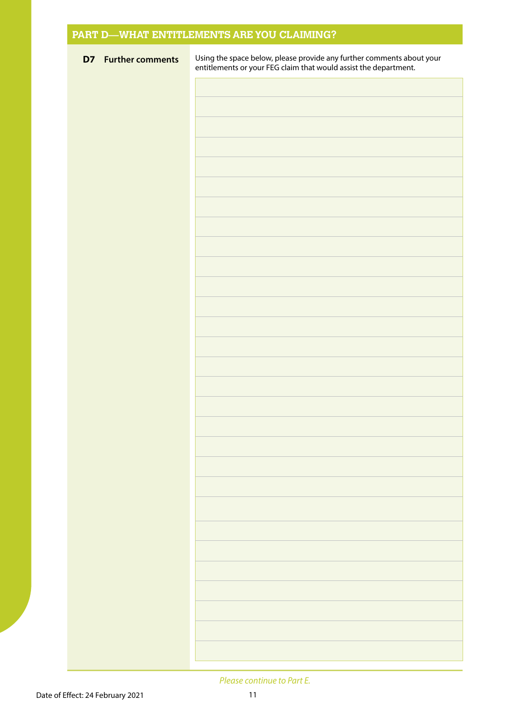| <b>D7</b> Further comments | Using the space below, please provide any further comments about your<br>entitlements or your FEG claim that would assist the department. |
|----------------------------|-------------------------------------------------------------------------------------------------------------------------------------------|
|                            |                                                                                                                                           |
|                            |                                                                                                                                           |
|                            |                                                                                                                                           |
|                            |                                                                                                                                           |
|                            |                                                                                                                                           |
|                            |                                                                                                                                           |
|                            |                                                                                                                                           |
|                            |                                                                                                                                           |
|                            |                                                                                                                                           |
|                            |                                                                                                                                           |
|                            |                                                                                                                                           |
|                            |                                                                                                                                           |
|                            |                                                                                                                                           |
|                            |                                                                                                                                           |
|                            |                                                                                                                                           |
|                            |                                                                                                                                           |
|                            |                                                                                                                                           |
|                            |                                                                                                                                           |
|                            |                                                                                                                                           |
|                            |                                                                                                                                           |
|                            |                                                                                                                                           |
|                            |                                                                                                                                           |
|                            |                                                                                                                                           |
|                            |                                                                                                                                           |
|                            |                                                                                                                                           |
|                            |                                                                                                                                           |
|                            |                                                                                                                                           |
|                            |                                                                                                                                           |
|                            |                                                                                                                                           |
|                            |                                                                                                                                           |

#### *Please continue to Part E.*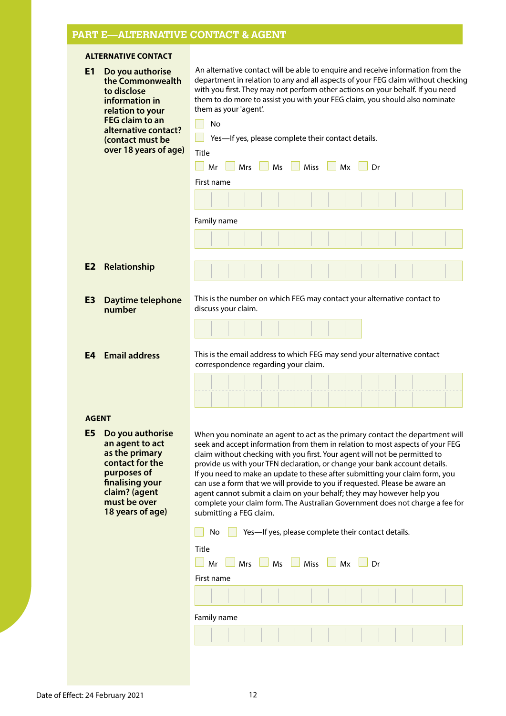# **PART E—ALTERNATIVE CONTACT & AGENT**

## **ALTERNATIVE CONTACT**

| E1<br>Do you authorise<br>the Commonwealth<br>to disclose<br>information in<br>relation to your<br>FEG claim to an<br>alternative contact?<br>(contact must be<br>over 18 years of age) | An alternative contact will be able to enquire and receive information from the<br>department in relation to any and all aspects of your FEG claim without checking<br>with you first. They may not perform other actions on your behalf. If you need<br>them to do more to assist you with your FEG claim, you should also nominate<br>them as your 'agent'.<br><b>No</b><br>Yes-If yes, please complete their contact details.<br>Title<br>Ms<br><b>Miss</b><br><b>Mrs</b><br>Mx<br>Mr<br>Dr<br>First name                                                                                                                                                                  |  |  |  |
|-----------------------------------------------------------------------------------------------------------------------------------------------------------------------------------------|-------------------------------------------------------------------------------------------------------------------------------------------------------------------------------------------------------------------------------------------------------------------------------------------------------------------------------------------------------------------------------------------------------------------------------------------------------------------------------------------------------------------------------------------------------------------------------------------------------------------------------------------------------------------------------|--|--|--|
|                                                                                                                                                                                         | Family name                                                                                                                                                                                                                                                                                                                                                                                                                                                                                                                                                                                                                                                                   |  |  |  |
| Relationship<br>E <sub>2</sub>                                                                                                                                                          |                                                                                                                                                                                                                                                                                                                                                                                                                                                                                                                                                                                                                                                                               |  |  |  |
| E <sub>3</sub><br>Daytime telephone<br>number                                                                                                                                           | This is the number on which FEG may contact your alternative contact to<br>discuss your claim.                                                                                                                                                                                                                                                                                                                                                                                                                                                                                                                                                                                |  |  |  |
| <b>Email address</b><br>E4                                                                                                                                                              | This is the email address to which FEG may send your alternative contact<br>correspondence regarding your claim.                                                                                                                                                                                                                                                                                                                                                                                                                                                                                                                                                              |  |  |  |
| <b>AGENT</b>                                                                                                                                                                            |                                                                                                                                                                                                                                                                                                                                                                                                                                                                                                                                                                                                                                                                               |  |  |  |
| E <sub>5</sub><br>Do you authorise<br>an agent to act<br>as the primary<br>contact for the<br>purposes of<br>finalising your<br>claim? (agent<br>must be over<br>18 years of age)       | When you nominate an agent to act as the primary contact the department will<br>seek and accept information from them in relation to most aspects of your FEG<br>claim without checking with you first. Your agent will not be permitted to<br>provide us with your TFN declaration, or change your bank account details.<br>If you need to make an update to these after submitting your claim form, you<br>can use a form that we will provide to you if requested. Please be aware an<br>agent cannot submit a claim on your behalf; they may however help you<br>complete your claim form. The Australian Government does not charge a fee for<br>submitting a FEG claim. |  |  |  |
|                                                                                                                                                                                         | Yes-If yes, please complete their contact details.<br>No                                                                                                                                                                                                                                                                                                                                                                                                                                                                                                                                                                                                                      |  |  |  |
|                                                                                                                                                                                         | Title<br>Miss<br>Mr<br>Mrs<br>Ms<br>Mx<br>Dr                                                                                                                                                                                                                                                                                                                                                                                                                                                                                                                                                                                                                                  |  |  |  |
|                                                                                                                                                                                         | First name                                                                                                                                                                                                                                                                                                                                                                                                                                                                                                                                                                                                                                                                    |  |  |  |
|                                                                                                                                                                                         |                                                                                                                                                                                                                                                                                                                                                                                                                                                                                                                                                                                                                                                                               |  |  |  |
|                                                                                                                                                                                         | Family name                                                                                                                                                                                                                                                                                                                                                                                                                                                                                                                                                                                                                                                                   |  |  |  |
|                                                                                                                                                                                         |                                                                                                                                                                                                                                                                                                                                                                                                                                                                                                                                                                                                                                                                               |  |  |  |
|                                                                                                                                                                                         |                                                                                                                                                                                                                                                                                                                                                                                                                                                                                                                                                                                                                                                                               |  |  |  |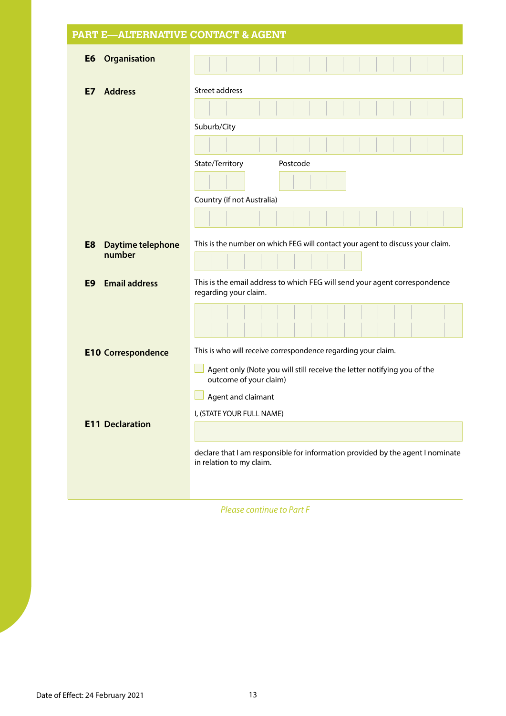|                        |                                                                                                            | <b>PART E—ALTERNATIVE CONTACT &amp; AGENT</b>                                                       |  |  |
|------------------------|------------------------------------------------------------------------------------------------------------|-----------------------------------------------------------------------------------------------------|--|--|
| E <sub>6</sub>         | Organisation                                                                                               |                                                                                                     |  |  |
| E7                     | <b>Address</b>                                                                                             | Street address                                                                                      |  |  |
|                        |                                                                                                            |                                                                                                     |  |  |
|                        |                                                                                                            | Suburb/City                                                                                         |  |  |
|                        |                                                                                                            |                                                                                                     |  |  |
|                        |                                                                                                            | State/Territory<br>Postcode                                                                         |  |  |
|                        |                                                                                                            |                                                                                                     |  |  |
|                        |                                                                                                            | Country (if not Australia)                                                                          |  |  |
|                        |                                                                                                            |                                                                                                     |  |  |
| E <sub>8</sub>         | Daytime telephone                                                                                          | This is the number on which FEG will contact your agent to discuss your claim.                      |  |  |
| number                 |                                                                                                            |                                                                                                     |  |  |
| E9                     | <b>Email address</b>                                                                                       | This is the email address to which FEG will send your agent correspondence<br>regarding your claim. |  |  |
|                        |                                                                                                            |                                                                                                     |  |  |
|                        | <b>E10 Correspondence</b>                                                                                  | This is who will receive correspondence regarding your claim.                                       |  |  |
|                        | Agent only (Note you will still receive the letter notifying you of the<br>outcome of your claim)          |                                                                                                     |  |  |
|                        |                                                                                                            | Agent and claimant                                                                                  |  |  |
| <b>E11 Declaration</b> | I, (STATE YOUR FULL NAME)                                                                                  |                                                                                                     |  |  |
|                        |                                                                                                            |                                                                                                     |  |  |
|                        | declare that I am responsible for information provided by the agent I nominate<br>in relation to my claim. |                                                                                                     |  |  |

*Please continue to Part F*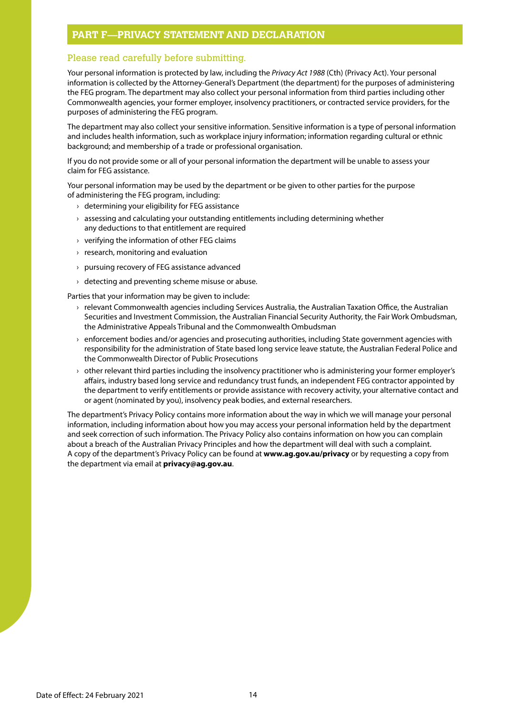#### **PART F—PRIVACY STATEMENT AND DECLARATION**

#### Please read carefully before submitting.

Your personal information is protected by law, including the *Privacy Act 1988* (Cth) (Privacy Act). Your personal information is collected by the Attorney-General's Department (the department) for the purposes of administering the FEG program. The department may also collect your personal information from third parties including other Commonwealth agencies, your former employer, insolvency practitioners, or contracted service providers, for the purposes of administering the FEG program.

The department may also collect your sensitive information. Sensitive information is a type of personal information and includes health information, such as workplace injury information; information regarding cultural or ethnic background; and membership of a trade or professional organisation.

If you do not provide some or all of your personal information the department will be unable to assess your claim for FEG assistance.

Your personal information may be used by the department or be given to other parties for the purpose of administering the FEG program, including:

- $\rightarrow$  determining your eligibility for FEG assistance
- $\rightarrow$  assessing and calculating your outstanding entitlements including determining whether any deductions to that entitlement are required
- › verifying the information of other FEG claims
- › research, monitoring and evaluation
- › pursuing recovery of FEG assistance advanced
- $\rightarrow$  detecting and preventing scheme misuse or abuse.

Parties that your information may be given to include:

- › relevant Commonwealth agencies including Services Australia, the Australian Taxation Office, the Australian Securities and Investment Commission, the Australian Financial Security Authority, the Fair Work Ombudsman, the Administrative Appeals Tribunal and the Commonwealth Ombudsman
- $\rightarrow$  enforcement bodies and/or agencies and prosecuting authorities, including State government agencies with responsibility for the administration of State based long service leave statute, the Australian Federal Police and the Commonwealth Director of Public Prosecutions
- › other relevant third parties including the insolvency practitioner who is administering your former employer's affairs, industry based long service and redundancy trust funds, an independent FEG contractor appointed by the department to verify entitlements or provide assistance with recovery activity, your alternative contact and or agent (nominated by you), insolvency peak bodies, and external researchers.

The department's Privacy Policy contains more information about the way in which we will manage your personal information, including information about how you may access your personal information held by the department and seek correction of such information. The Privacy Policy also contains information on how you can complain about a breach of the Australian Privacy Principles and how the department will deal with such a complaint. A copy of the department's Privacy Policy can be found at **[www.ag.gov.au/privacy](http://www.ag.gov.au/privacy)** or by requesting a copy from the department via email at **[privacy@ag.gov.au](http://privacy@ag.gov.au)**.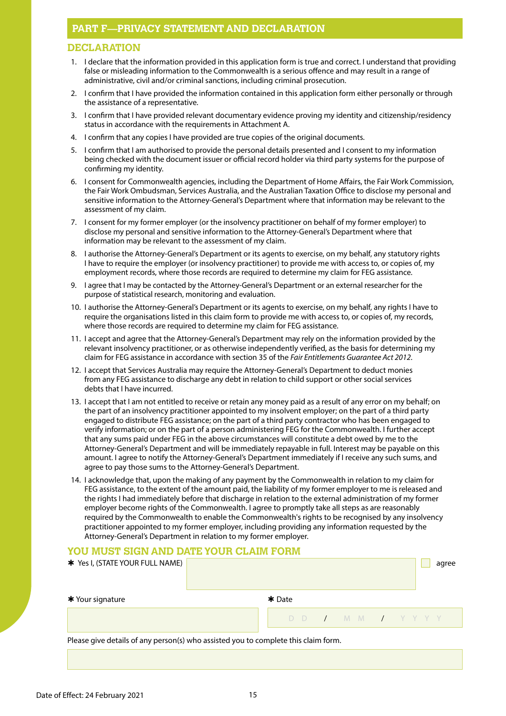## **PART F—PRIVACY STATEMENT AND DECLARATION**

#### **DECLARATION**

- 1. I declare that the information provided in this application form is true and correct. I understand that providing false or misleading information to the Commonwealth is a serious offence and may result in a range of administrative, civil and/or criminal sanctions, including criminal prosecution.
- 2. I confirm that I have provided the information contained in this application form either personally or through the assistance of a representative.
- 3. I confirm that I have provided relevant documentary evidence proving my identity and citizenship/residency status in accordance with the requirements in Attachment A.
- 4. I confirm that any copies I have provided are true copies of the original documents.
- 5. I confirm that I am authorised to provide the personal details presented and I consent to my information being checked with the document issuer or official record holder via third party systems for the purpose of confirming my identity.
- 6. I consent for Commonwealth agencies, including the Department of Home Affairs, the Fair Work Commission, the Fair Work Ombudsman, Services Australia, and the Australian Taxation Office to disclose my personal and sensitive information to the Attorney-General's Department where that information may be relevant to the assessment of my claim.
- 7. I consent for my former employer (or the insolvency practitioner on behalf of my former employer) to disclose my personal and sensitive information to the Attorney-General's Department where that information may be relevant to the assessment of my claim.
- 8. I authorise the Attorney-General's Department or its agents to exercise, on my behalf, any statutory rights I have to require the employer (or insolvency practitioner) to provide me with access to, or copies of, my employment records, where those records are required to determine my claim for FEG assistance.
- 9. I agree that I may be contacted by the Attorney-General's Department or an external researcher for the purpose of statistical research, monitoring and evaluation.
- 10. I authorise the Attorney-General's Department or its agents to exercise, on my behalf, any rights I have to require the organisations listed in this claim form to provide me with access to, or copies of, my records, where those records are required to determine my claim for FEG assistance.
- 11. I accept and agree that the Attorney-General's Department may rely on the information provided by the relevant insolvency practitioner, or as otherwise independently verified, as the basis for determining my claim for FEG assistance in accordance with section 35 of the *Fair Entitlements Guarantee Act 2012*.
- 12. I accept that Services Australia may require the Attorney-General's Department to deduct monies from any FEG assistance to discharge any debt in relation to child support or other social services debts that I have incurred.
- 13. I accept that I am not entitled to receive or retain any money paid as a result of any error on my behalf; on the part of an insolvency practitioner appointed to my insolvent employer; on the part of a third party engaged to distribute FEG assistance; on the part of a third party contractor who has been engaged to verify information; or on the part of a person administering FEG for the Commonwealth. I further accept that any sums paid under FEG in the above circumstances will constitute a debt owed by me to the Attorney-General's Department and will be immediately repayable in full. Interest may be payable on this amount. I agree to notify the Attorney-General's Department immediately if I receive any such sums, and agree to pay those sums to the Attorney-General's Department.
- 14. I acknowledge that, upon the making of any payment by the Commonwealth in relation to my claim for FEG assistance, to the extent of the amount paid, the liability of my former employer to me is released and the rights I had immediately before that discharge in relation to the external administration of my former employer become rights of the Commonwealth. I agree to promptly take all steps as are reasonably required by the Commonwealth to enable the Commonwealth's rights to be recognised by any insolvency practitioner appointed to my former employer, including providing any information requested by the Attorney-General's Department in relation to my former employer.

#### **YOU MUST SIGN AND DATE YOUR CLAIM FORM**

| * Yes I, (STATE YOUR FULL NAME)                                                    |                | agree |  |  |
|------------------------------------------------------------------------------------|----------------|-------|--|--|
| * Your signature                                                                   | $*$ Date       |       |  |  |
|                                                                                    | DD / MM / YYYY |       |  |  |
| Please give details of any person(s) who assisted you to complete this claim form. |                |       |  |  |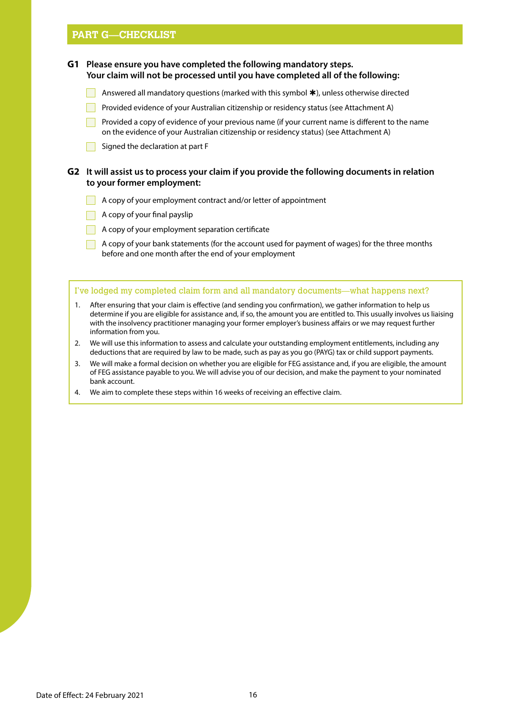#### **PART G—CHECKLIST**

**G1 Please ensure you have completed the following mandatory steps. Your claim will not be processed until you have completed all of the following:**

- **Answered all mandatory questions (marked with this symbol**  $\star$ **), unless otherwise directed**
- Provided evidence of your Australian citizenship or residency status (see Attachment A)

Provided a copy of evidence of your previous name (if your current name is different to the name on the evidence of your Australian citizenship or residency status) (see Attachment A)

 $\Box$  Signed the declaration at part F

#### **G2 It will assist us to process your claim if you provide the following documents in relation to your former employment:**

- A copy of your employment contract and/or letter of appointment
- A copy of your final payslip
- $\blacksquare$  A copy of your employment separation certificate

A copy of your bank statements (for the account used for payment of wages) for the three months before and one month after the end of your employment

#### I've lodged my completed claim form and all mandatory documents—what happens next?

- 1. After ensuring that your claim is effective (and sending you confirmation), we gather information to help us determine if you are eligible for assistance and, if so, the amount you are entitled to. This usually involves us liaising with the insolvency practitioner managing your former employer's business affairs or we may request further information from you.
- 2. We will use this information to assess and calculate your outstanding employment entitlements, including any deductions that are required by law to be made, such as pay as you go (PAYG) tax or child support payments.
- 3. We will make a formal decision on whether you are eligible for FEG assistance and, if you are eligible, the amount of FEG assistance payable to you. We will advise you of our decision, and make the payment to your nominated bank account.
- 4. We aim to complete these steps within 16 weeks of receiving an effective claim.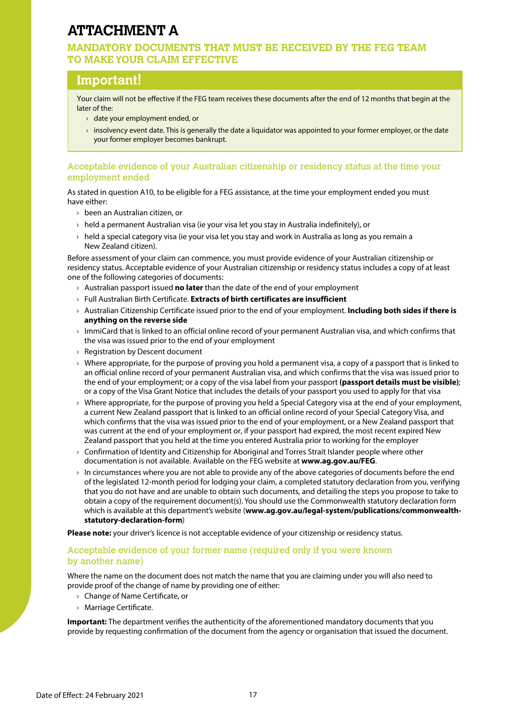# **ATTACHMENT A**

#### **MANDATORY DOCUMENTS THAT MUST BE RECEIVED BY THE FEG TEAM TO MAKE YOUR CLAIM EFFECTIVE**

# **Important!**

Your claim will not be effective if the FEG team receives these documents after the end of 12 months that begin at the later of the:

- › date your employment ended, or
- $\rightarrow$  insolvency event date. This is generally the date a liquidator was appointed to your former employer, or the date your former employer becomes bankrupt.

#### Acceptable evidence of your Australian citizenship or residency status at the time your employment ended

As stated in question A10, to be eligible for a FEG assistance, at the time your employment ended you must have either:

- › been an Australian citizen, or
- $\rightarrow$  held a permanent Australian visa (ie your visa let you stay in Australia indefinitely), or
- $\rightarrow$  held a special category visa (ie your visa let you stay and work in Australia as long as you remain a New Zealand citizen).

Before assessment of your claim can commence, you must provide evidence of your Australian citizenship or residency status. Acceptable evidence of your Australian citizenship or residency status includes a copy of at least one of the following categories of documents:

- › Australian passport issued **no later** than the date of the end of your employment
- › Full Australian Birth Certificate. **Extracts of birth certificates are insufficient**
- › Australian Citizenship Certificate issued prior to the end of your employment. **Including both sides if there is anything on the reverse side**
- › ImmiCard that is linked to an official online record of your permanent Australian visa, and which confirms that the visa was issued prior to the end of your employment
- › Registration by Descent document
- $\rightarrow$  Where appropriate, for the purpose of proving you hold a permanent visa, a copy of a passport that is linked to an official online record of your permanent Australian visa, and which confirms that the visa was issued prior to the end of your employment; or a copy of the visa label from your passport **(passport details must be visible)**; or a copy of the Visa Grant Notice that includes the details of your passport you used to apply for that visa
- › Where appropriate, for the purpose of proving you held a Special Category visa at the end of your employment, a current New Zealand passport that is linked to an official online record of your Special Category Visa, and which confirms that the visa was issued prior to the end of your employment, or a New Zealand passport that was current at the end of your employment or, if your passport had expired, the most recent expired New Zealand passport that you held at the time you entered Australia prior to working for the employer
- › Confirmation of Identity and Citizenship for Aboriginal and Torres Strait Islander people where other documentation is not available. Available on the FEG website at **www.ag.gov.au/FEG**.
- $\rightarrow$  In circumstances where you are not able to provide any of the above categories of documents before the end of the legislated 12-month period for lodging your claim, a completed statutory declaration from you, verifying that you do not have and are unable to obtain such documents, and detailing the steps you propose to take to obtain a copy of the requirement document(s). You should use the Commonwealth statutory declaration form which is available at this department's website (**[www.ag.gov.au/legal-system/publications/commonwealth](http://www.ag.gov.au/legal-system/publications/commonwealth-statutory-declaration-form)statutory-declaration-form**)

**Please note:** your driver's licence is not acceptable evidence of your citizenship or residency status.

#### Acceptable evidence of your former name (required only if you were known by another name)

Where the name on the document does not match the name that you are claiming under you will also need to provide proof of the change of name by providing one of either:

- › Change of Name Certificate, or
- › Marriage Certificate.

**Important:** The department verifies the authenticity of the aforementioned mandatory documents that you provide by requesting confirmation of the document from the agency or organisation that issued the document.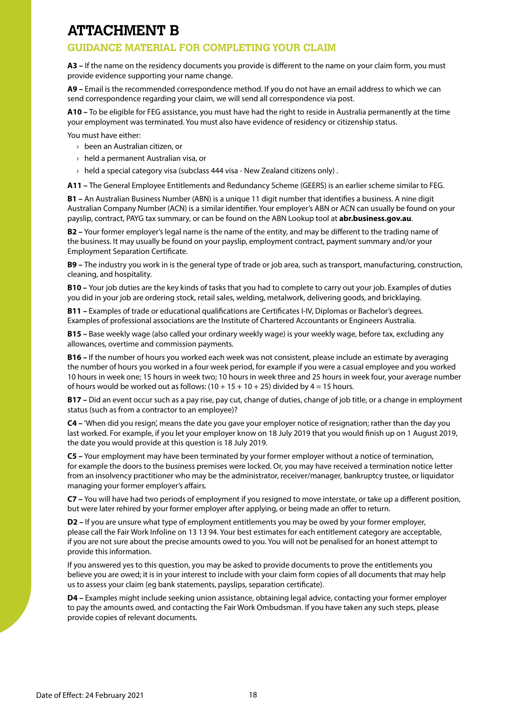# **ATTACHMENT B**

# **GUIDANCE MATERIAL FOR COMPLETING YOUR CLAIM**

**A3 –** If the name on the residency documents you provide is different to the name on your claim form, you must provide evidence supporting your name change.

**A9 –** Email is the recommended correspondence method. If you do not have an email address to which we can send correspondence regarding your claim, we will send all correspondence via post.

**A10 –** To be eligible for FEG assistance, you must have had the right to reside in Australia permanently at the time your employment was terminated. You must also have evidence of residency or citizenship status.

You must have either:

- › been an Australian citizen, or
- › held a permanent Australian visa, or
- $\rightarrow$  held a special category visa (subclass 444 visa New Zealand citizens only).

**A11 –** The General Employee Entitlements and Redundancy Scheme (GEERS) is an earlier scheme similar to FEG.

**B1 –** An Australian Business Number (ABN) is a unique 11 digit number that identifies a business. A nine digit Australian Company Number (ACN) is a similar identifier. Your employer's ABN or ACN can usually be found on your payslip, contract, PAYG tax summary, or can be found on the ABN Lookup tool at **[abr.business.gov.au](http://abr.business.gov.au)**.

**B2 –** Your former employer's legal name is the name of the entity, and may be different to the trading name of the business. It may usually be found on your payslip, employment contract, payment summary and/or your Employment Separation Certificate.

**B9 –** The industry you work in is the general type of trade or job area, such as transport, manufacturing, construction, cleaning, and hospitality.

**B10 –** Your job duties are the key kinds of tasks that you had to complete to carry out your job. Examples of duties you did in your job are ordering stock, retail sales, welding, metalwork, delivering goods, and bricklaying.

**B11 –** Examples of trade or educational qualifications are Certificates I-IV, Diplomas or Bachelor's degrees. Examples of professional associations are the Institute of Chartered Accountants or Engineers Australia.

**B15 –** Base weekly wage (also called your ordinary weekly wage) is your weekly wage, before tax, excluding any allowances, overtime and commission payments.

**B16 –** If the number of hours you worked each week was not consistent, please include an estimate by averaging the number of hours you worked in a four week period, for example if you were a casual employee and you worked 10 hours in week one; 15 hours in week two; 10 hours in week three and 25 hours in week four, your average number of hours would be worked out as follows:  $(10 + 15 + 10 + 25)$  divided by  $4 = 15$  hours.

**B17 –** Did an event occur such as a pay rise, pay cut, change of duties, change of job title, or a change in employment status (such as from a contractor to an employee)?

**C4 –** 'When did you resign', means the date you gave your employer notice of resignation; rather than the day you last worked. For example, if you let your employer know on 18 July 2019 that you would finish up on 1 August 2019, the date you would provide at this question is 18 July 2019.

**C5 –** Your employment may have been terminated by your former employer without a notice of termination, for example the doors to the business premises were locked. Or, you may have received a termination notice letter from an insolvency practitioner who may be the administrator, receiver/manager, bankruptcy trustee, or liquidator managing your former employer's affairs.

**C7 –** You will have had two periods of employment if you resigned to move interstate, or take up a different position, but were later rehired by your former employer after applying, or being made an offer to return.

**D2 –** If you are unsure what type of employment entitlements you may be owed by your former employer, please call the Fair Work Infoline on 13 13 94. Your best estimates for each entitlement category are acceptable, if you are not sure about the precise amounts owed to you. You will not be penalised for an honest attempt to provide this information.

If you answered yes to this question, you may be asked to provide documents to prove the entitlements you believe you are owed; it is in your interest to include with your claim form copies of all documents that may help us to assess your claim (eg bank statements, payslips, separation certificate).

**D4 –** Examples might include seeking union assistance, obtaining legal advice, contacting your former employer to pay the amounts owed, and contacting the Fair Work Ombudsman. If you have taken any such steps, please provide copies of relevant documents.